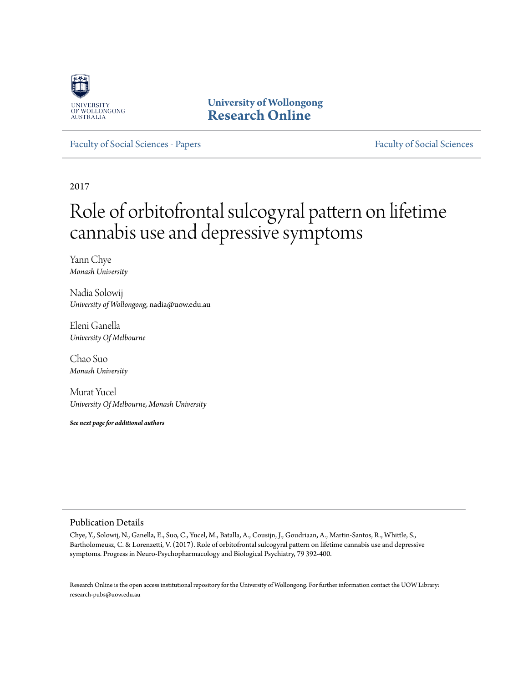

**University of Wollongong [Research Online](http://ro.uow.edu.au)**

[Faculty of Social Sciences - Papers](http://ro.uow.edu.au/sspapers) [Faculty of Social Sciences](http://ro.uow.edu.au/ss)

2017

# Role of orbitofrontal sulcogyral pattern on lifetime cannabis use and depressive symptoms

Yann Chye *Monash University*

Nadia Solowij *University of Wollongong*, nadia@uow.edu.au

Eleni Ganella *University Of Melbourne*

Chao Suo *Monash University*

Murat Yucel *University Of Melbourne, Monash University*

*See next page for additional authors*

#### Publication Details

Chye, Y., Solowij, N., Ganella, E., Suo, C., Yucel, M., Batalla, A., Cousijn, J., Goudriaan, A., Martin-Santos, R., Whittle, S., Bartholomeusz, C. & Lorenzetti, V. (2017). Role of orbitofrontal sulcogyral pattern on lifetime cannabis use and depressive symptoms. Progress in Neuro-Psychopharmacology and Biological Psychiatry, 79 392-400.

Research Online is the open access institutional repository for the University of Wollongong. For further information contact the UOW Library: research-pubs@uow.edu.au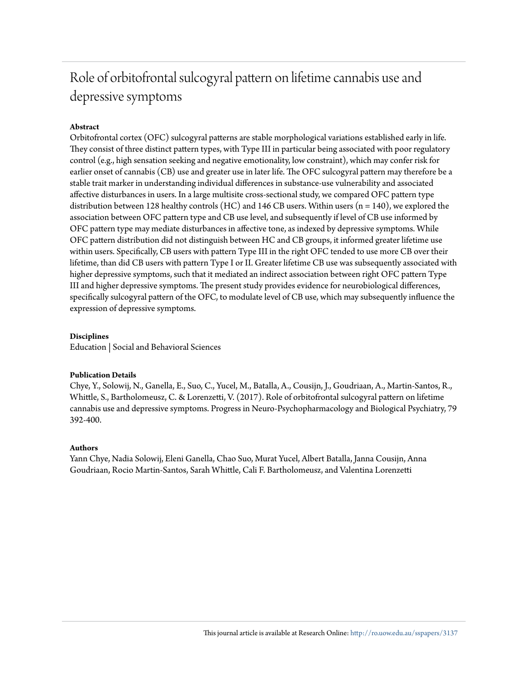## Role of orbitofrontal sulcogyral pattern on lifetime cannabis use and depressive symptoms

#### **Abstract**

Orbitofrontal cortex (OFC) sulcogyral patterns are stable morphological variations established early in life. They consist of three distinct pattern types, with Type III in particular being associated with poor regulatory control (e.g., high sensation seeking and negative emotionality, low constraint), which may confer risk for earlier onset of cannabis (CB) use and greater use in later life. The OFC sulcogyral pattern may therefore be a stable trait marker in understanding individual differences in substance-use vulnerability and associated affective disturbances in users. In a large multisite cross-sectional study, we compared OFC pattern type distribution between 128 healthy controls (HC) and 146 CB users. Within users (n = 140), we explored the association between OFC pattern type and CB use level, and subsequently if level of CB use informed by OFC pattern type may mediate disturbances in affective tone, as indexed by depressive symptoms. While OFC pattern distribution did not distinguish between HC and CB groups, it informed greater lifetime use within users. Specifically, CB users with pattern Type III in the right OFC tended to use more CB over their lifetime, than did CB users with pattern Type I or II. Greater lifetime CB use was subsequently associated with higher depressive symptoms, such that it mediated an indirect association between right OFC pattern Type III and higher depressive symptoms. The present study provides evidence for neurobiological differences, specifically sulcogyral pattern of the OFC, to modulate level of CB use, which may subsequently influence the expression of depressive symptoms.

#### **Disciplines**

Education | Social and Behavioral Sciences

#### **Publication Details**

Chye, Y., Solowij, N., Ganella, E., Suo, C., Yucel, M., Batalla, A., Cousijn, J., Goudriaan, A., Martin-Santos, R., Whittle, S., Bartholomeusz, C. & Lorenzetti, V. (2017). Role of orbitofrontal sulcogyral pattern on lifetime cannabis use and depressive symptoms. Progress in Neuro-Psychopharmacology and Biological Psychiatry, 79 392-400.

#### **Authors**

Yann Chye, Nadia Solowij, Eleni Ganella, Chao Suo, Murat Yucel, Albert Batalla, Janna Cousijn, Anna Goudriaan, Rocio Martin-Santos, Sarah Whittle, Cali F. Bartholomeusz, and Valentina Lorenzetti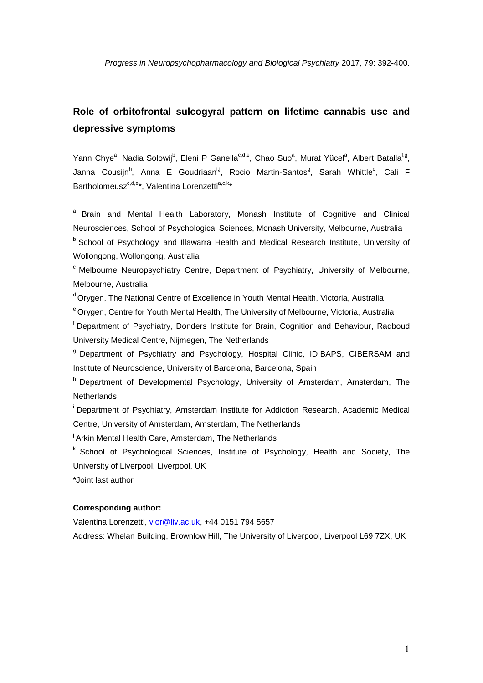### **Role of orbitofrontal sulcogyral pattern on lifetime cannabis use and depressive symptoms**

Yann Chye<sup>a</sup>, Nadia Solowij<sup>b</sup>, Eleni P Ganella<sup>c,d,e</sup>, Chao Suo<sup>a</sup>, Murat Yücel<sup>a</sup>, Albert Batalla<sup>f,g</sup>, Janna Cousijn<sup>h</sup>, Anna E Goudriaan<sup>i,j</sup>, Rocio Martin-Santos<sup>g</sup>, Sarah Whittle<sup>c</sup>, Cali F Bartholomeusz<sup>c,d,e</sup>\*, Valentina Lorenzetti<sup>a,c,k</sup>\*

<sup>a</sup> Brain and Mental Health Laboratory, Monash Institute of Cognitive and Clinical Neurosciences, School of Psychological Sciences, Monash University, Melbourne, Australia **b** School of Psychology and Illawarra Health and Medical Research Institute, University of Wollongong, Wollongong, Australia

<sup>c</sup> Melbourne Neuropsychiatry Centre, Department of Psychiatry, University of Melbourne, Melbourne, Australia

d Orygen, The National Centre of Excellence in Youth Mental Health, Victoria, Australia

<sup>e</sup> Orygen, Centre for Youth Mental Health, The University of Melbourne, Victoria, Australia

f Department of Psychiatry, Donders Institute for Brain, Cognition and Behaviour, Radboud University Medical Centre, Nijmegen, The Netherlands

<sup>9</sup> Department of Psychiatry and Psychology, Hospital Clinic, IDIBAPS, CIBERSAM and Institute of Neuroscience, University of Barcelona, Barcelona, Spain

h Department of Developmental Psychology, University of Amsterdam, Amsterdam, The **Netherlands** 

i Department of Psychiatry, Amsterdam Institute for Addiction Research, Academic Medical Centre, University of Amsterdam, Amsterdam, The Netherlands

<sup>j</sup> Arkin Mental Health Care, Amsterdam, The Netherlands

<sup>k</sup> School of Psychological Sciences, Institute of Psychology, Health and Society, The University of Liverpool, Liverpool, UK

\*Joint last author

#### **Corresponding author:**

Valentina Lorenzetti, [vlor@liv.ac.uk,](mailto:vlor@liv.ac.uk) +44 0151 794 5657

<span id="page-2-0"></span>Address: Whelan Building, Brownlow Hill, The University of Liverpool, Liverpool L69 7ZX, UK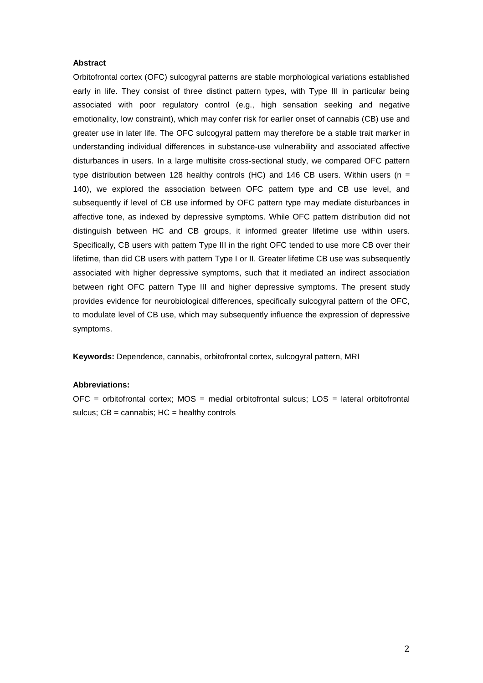#### **Abstract**

Orbitofrontal cortex (OFC) sulcogyral patterns are stable morphological variations established early in life. They consist of three distinct pattern types, with Type III in particular being associated with poor regulatory control (e.g., high sensation seeking and negative emotionality, low constraint), which may confer risk for earlier onset of cannabis (CB) use and greater use in later life. The OFC sulcogyral pattern may therefore be a stable trait marker in understanding individual differences in substance-use vulnerability and associated affective disturbances in users. In a large multisite cross-sectional study, we compared OFC pattern type distribution between 128 healthy controls (HC) and 146 CB users. Within users ( $n =$ 140), we explored the association between OFC pattern type and CB use level, and subsequently if level of CB use informed by OFC pattern type may mediate disturbances in affective tone, as indexed by depressive symptoms. While OFC pattern distribution did not distinguish between HC and CB groups, it informed greater lifetime use within users. Specifically, CB users with pattern Type III in the right OFC tended to use more CB over their lifetime, than did CB users with pattern Type I or II. Greater lifetime CB use was subsequently associated with higher depressive symptoms, such that it mediated an indirect association between right OFC pattern Type III and higher depressive symptoms. The present study provides evidence for neurobiological differences, specifically sulcogyral pattern of the OFC, to modulate level of CB use, which may subsequently influence the expression of depressive symptoms.

**Keywords:** Dependence, cannabis, orbitofrontal cortex, sulcogyral pattern, MRI

#### **Abbreviations:**

 $OFC$  = orbitofrontal cortex; MOS = medial orbitofrontal sulcus; LOS = lateral orbitofrontal sulcus;  $CB =$  cannabis;  $HC =$  healthy controls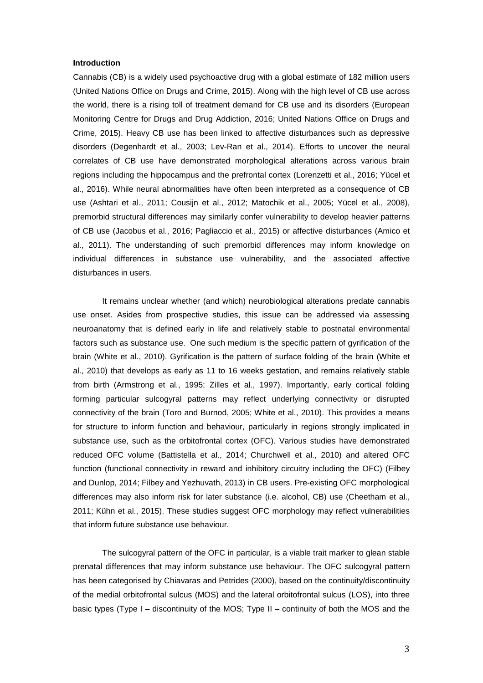#### **Introduction**

Cannabis (CB) is a widely used psychoactive drug with a global estimate of 182 million users (United Nations Office on Drugs and Crime, 2015). Along with the high level of CB use across the world, there is a rising toll of treatment demand for CB use and its disorders (European Monitoring Centre for Drugs and Drug Addiction, 2016; United Nations Office on Drugs and Crime, 2015). Heavy CB use has been linked to affective disturbances such as depressive disorders (Degenhardt et al., 2003; Lev-Ran et al., 2014). Efforts to uncover the neural correlates of CB use have demonstrated morphological alterations across various brain regions including the hippocampus and the prefrontal cortex (Lorenzetti et al., 2016; Yücel et al., 2016). While neural abnormalities have often been interpreted as a consequence of CB use (Ashtari et al., 2011; Cousijn et al., 2012; Matochik et al., 2005; Yücel et al., 2008), premorbid structural differences may similarly confer vulnerability to develop heavier patterns of CB use (Jacobus et al., 2016; Pagliaccio et al., 2015) or affective disturbances (Amico et al., 2011). The understanding of such premorbid differences may inform knowledge on individual differences in substance use vulnerability, and the associated affective disturbances in users.

It remains unclear whether (and which) neurobiological alterations predate cannabis use onset. Asides from prospective studies, this issue can be addressed via assessing neuroanatomy that is defined early in life and relatively stable to postnatal environmental factors such as substance use. One such medium is the specific pattern of gyrification of the brain (White et al., 2010). Gyrification is the pattern of surface folding of the brain (White et al., 2010) that develops as early as 11 to 16 weeks gestation, and remains relatively stable from birth (Armstrong et al., 1995; Zilles et al., 1997). Importantly, early cortical folding forming particular sulcogyral patterns may reflect underlying connectivity or disrupted connectivity of the brain (Toro and Burnod, 2005; White et al., 2010). This provides a means for structure to inform function and behaviour, particularly in regions strongly implicated in substance use, such as the orbitofrontal cortex (OFC). Various studies have demonstrated reduced OFC volume (Battistella et al., 2014; Churchwell et al., 2010) and altered OFC function (functional connectivity in reward and inhibitory circuitry including the OFC) (Filbey and Dunlop, 2014; Filbey and Yezhuvath, 2013) in CB users. Pre-existing OFC morphological differences may also inform risk for later substance (i.e. alcohol, CB) use (Cheetham et al., 2011; Kühn et al., 2015). These studies suggest OFC morphology may reflect vulnerabilities that inform future substance use behaviour.

The sulcogyral pattern of the OFC in particular, is a viable trait marker to glean stable prenatal differences that may inform substance use behaviour. The OFC sulcogyral pattern has been categorised by Chiavaras and Petrides (2000), based on the continuity/discontinuity of the medial orbitofrontal sulcus (MOS) and the lateral orbitofrontal sulcus (LOS), into three basic types (Type I – discontinuity of the MOS; Type II – continuity of both the MOS and the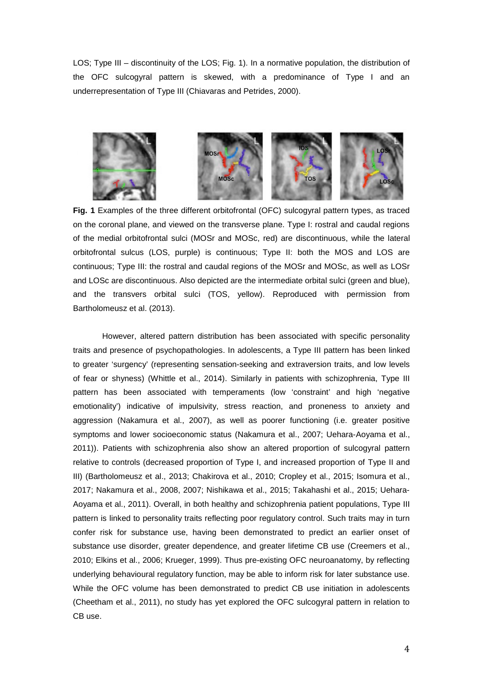LOS; Type III – discontinuity of the LOS; Fig. 1). In a normative population, the distribution of the OFC sulcogyral pattern is skewed, with a predominance of Type I and an underrepresentation of Type III (Chiavaras and Petrides, 2000).



**Fig. 1** Examples of the three different orbitofrontal (OFC) sulcogyral pattern types, as traced on the coronal plane, and viewed on the transverse plane. Type I: rostral and caudal regions of the medial orbitofrontal sulci (MOSr and MOSc, red) are discontinuous, while the lateral orbitofrontal sulcus (LOS, purple) is continuous; Type II: both the MOS and LOS are continuous; Type III: the rostral and caudal regions of the MOSr and MOSc, as well as LOSr and LOSc are discontinuous. Also depicted are the intermediate orbital sulci (green and blue), and the transvers orbital sulci (TOS, yellow). Reproduced with permission from Bartholomeusz et al. (2013).

However, altered pattern distribution has been associated with specific personality traits and presence of psychopathologies. In adolescents, a Type III pattern has been linked to greater 'surgency' (representing sensation-seeking and extraversion traits, and low levels of fear or shyness) (Whittle et al., 2014). Similarly in patients with schizophrenia, Type III pattern has been associated with temperaments (low 'constraint' and high 'negative emotionality') indicative of impulsivity, stress reaction, and proneness to anxiety and aggression (Nakamura et al., 2007), as well as poorer functioning (i.e. greater positive symptoms and lower socioeconomic status (Nakamura et al., 2007; Uehara-Aoyama et al., 2011)). Patients with schizophrenia also show an altered proportion of sulcogyral pattern relative to controls (decreased proportion of Type I, and increased proportion of Type II and III) (Bartholomeusz et al., 2013; Chakirova et al., 2010; Cropley et al., 2015; Isomura et al., 2017; Nakamura et al., 2008, 2007; Nishikawa et al., 2015; Takahashi et al., 2015; Uehara-Aoyama et al., 2011). Overall, in both healthy and schizophrenia patient populations, Type III pattern is linked to personality traits reflecting poor regulatory control. Such traits may in turn confer risk for substance use, having been demonstrated to predict an earlier onset of substance use disorder, greater dependence, and greater lifetime CB use (Creemers et al., 2010; Elkins et al., 2006; Krueger, 1999). Thus pre-existing OFC neuroanatomy, by reflecting underlying behavioural regulatory function, may be able to inform risk for later substance use. While the OFC volume has been demonstrated to predict CB use initiation in adolescents (Cheetham et al., 2011), no study has yet explored the OFC sulcogyral pattern in relation to CB use.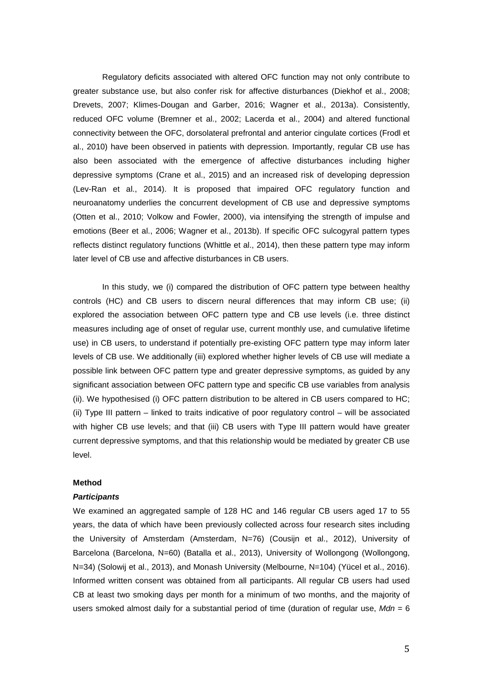Regulatory deficits associated with altered OFC function may not only contribute to greater substance use, but also confer risk for affective disturbances (Diekhof et al., 2008; Drevets, 2007; Klimes-Dougan and Garber, 2016; Wagner et al., 2013a). Consistently, reduced OFC volume (Bremner et al., 2002; Lacerda et al., 2004) and altered functional connectivity between the OFC, dorsolateral prefrontal and anterior cingulate cortices (Frodl et al., 2010) have been observed in patients with depression. Importantly, regular CB use has also been associated with the emergence of affective disturbances including higher depressive symptoms (Crane et al., 2015) and an increased risk of developing depression (Lev-Ran et al., 2014). It is proposed that impaired OFC regulatory function and neuroanatomy underlies the concurrent development of CB use and depressive symptoms (Otten et al., 2010; Volkow and Fowler, 2000), via intensifying the strength of impulse and emotions (Beer et al., 2006; Wagner et al., 2013b). If specific OFC sulcogyral pattern types reflects distinct regulatory functions (Whittle et al., 2014), then these pattern type may inform later level of CB use and affective disturbances in CB users.

In this study, we (i) compared the distribution of OFC pattern type between healthy controls (HC) and CB users to discern neural differences that may inform CB use; (ii) explored the association between OFC pattern type and CB use levels (i.e. three distinct measures including age of onset of regular use, current monthly use, and cumulative lifetime use) in CB users, to understand if potentially pre-existing OFC pattern type may inform later levels of CB use. We additionally (iii) explored whether higher levels of CB use will mediate a possible link between OFC pattern type and greater depressive symptoms, as guided by any significant association between OFC pattern type and specific CB use variables from analysis (ii). We hypothesised (i) OFC pattern distribution to be altered in CB users compared to HC; (ii) Type III pattern – linked to traits indicative of poor regulatory control – will be associated with higher CB use levels; and that (iii) CB users with Type III pattern would have greater current depressive symptoms, and that this relationship would be mediated by greater CB use level.

#### **Method**

#### *Participants*

We examined an aggregated sample of 128 HC and 146 regular CB users aged 17 to 55 years, the data of which have been previously collected across four research sites including the University of Amsterdam (Amsterdam, N=76) (Cousijn et al., 2012), University of Barcelona (Barcelona, N=60) (Batalla et al., 2013), University of Wollongong (Wollongong, N=34) (Solowij et al., 2013), and Monash University (Melbourne, N=104) (Yücel et al., 2016). Informed written consent was obtained from all participants. All regular CB users had used CB at least two smoking days per month for a minimum of two months, and the majority of users smoked almost daily for a substantial period of time (duration of regular use, *Mdn* = 6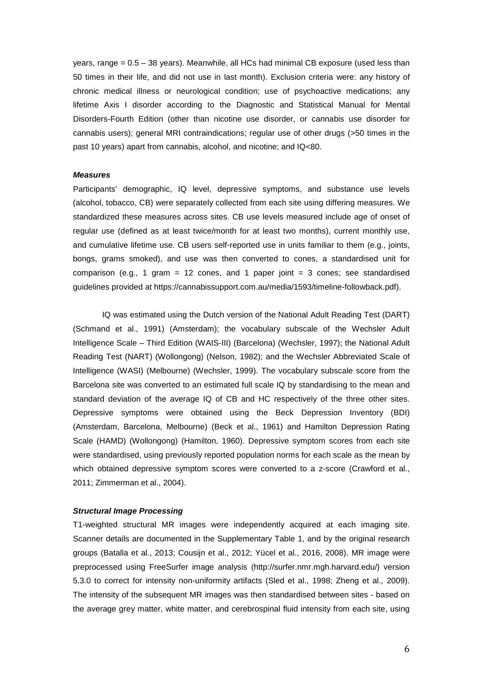years, range  $= 0.5 - 38$  years). Meanwhile, all HCs had minimal CB exposure (used less than 50 times in their life, and did not use in last month). Exclusion criteria were: any history of chronic medical illness or neurological condition; use of psychoactive medications; any lifetime Axis I disorder according to the Diagnostic and Statistical Manual for Mental Disorders-Fourth Edition (other than nicotine use disorder, or cannabis use disorder for cannabis users); general MRI contraindications; regular use of other drugs (>50 times in the past 10 years) apart from cannabis, alcohol, and nicotine; and IQ<80.

#### *Measures*

Participants' demographic, IQ level, depressive symptoms, and substance use levels (alcohol, tobacco, CB) were separately collected from each site using differing measures. We standardized these measures across sites. CB use levels measured include age of onset of regular use (defined as at least twice/month for at least two months), current monthly use, and cumulative lifetime use. CB users self-reported use in units familiar to them (e.g., joints, bongs, grams smoked), and use was then converted to cones, a standardised unit for comparison (e.g., 1 gram = 12 cones, and 1 paper joint = 3 cones; see standardised guidelines provided at https://cannabissupport.com.au/media/1593/timeline-followback.pdf).

IQ was estimated using the Dutch version of the National Adult Reading Test (DART) (Schmand et al., 1991) (Amsterdam); the vocabulary subscale of the Wechsler Adult Intelligence Scale – Third Edition (WAIS-III) (Barcelona) (Wechsler, 1997); the National Adult Reading Test (NART) (Wollongong) (Nelson, 1982); and the Wechsler Abbreviated Scale of Intelligence (WASI) (Melbourne) (Wechsler, 1999). The vocabulary subscale score from the Barcelona site was converted to an estimated full scale IQ by standardising to the mean and standard deviation of the average IQ of CB and HC respectively of the three other sites. Depressive symptoms were obtained using the Beck Depression Inventory (BDI) (Amsterdam, Barcelona, Melbourne) (Beck et al., 1961) and Hamilton Depression Rating Scale (HAMD) (Wollongong) (Hamilton, 1960). Depressive symptom scores from each site were standardised, using previously reported population norms for each scale as the mean by which obtained depressive symptom scores were converted to a z-score (Crawford et al., 2011; Zimmerman et al., 2004).

#### *Structural Image Processing*

T1-weighted structural MR images were independently acquired at each imaging site. Scanner details are documented in the Supplementary Table 1, and by the original research groups (Batalla et al., 2013; Cousijn et al., 2012; Yücel et al., 2016, 2008). MR image were preprocessed using FreeSurfer image analysis (http://surfer.nmr.mgh.harvard.edu/) version 5.3.0 to correct for intensity non-uniformity artifacts (Sled et al., 1998; Zheng et al., 2009). The intensity of the subsequent MR images was then standardised between sites - based on the average grey matter, white matter, and cerebrospinal fluid intensity from each site, using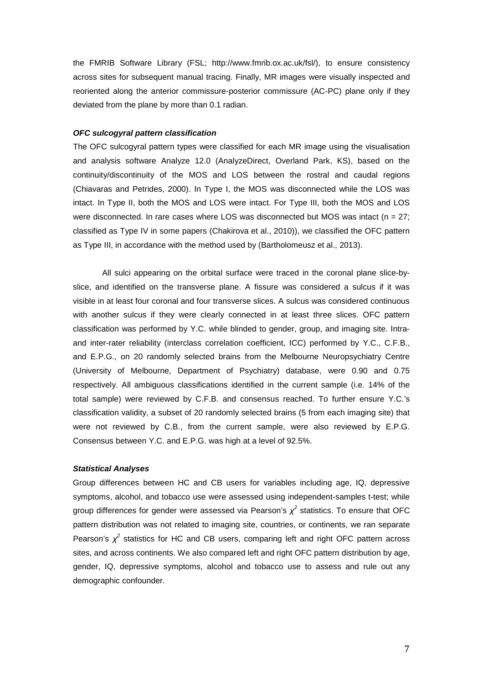the FMRIB Software Library (FSL; http://www.fmrib.ox.ac.uk/fsl/), to ensure consistency across sites for subsequent manual tracing. Finally, MR images were visually inspected and reoriented along the anterior commissure-posterior commissure (AC-PC) plane only if they deviated from the plane by more than 0.1 radian.

#### *OFC sulcogyral pattern classification*

The OFC sulcogyral pattern types were classified for each MR image using the visualisation and analysis software Analyze 12.0 (AnalyzeDirect, Overland Park, KS), based on the continuity/discontinuity of the MOS and LOS between the rostral and caudal regions (Chiavaras and Petrides, 2000). In Type I, the MOS was disconnected while the LOS was intact. In Type II, both the MOS and LOS were intact. For Type III, both the MOS and LOS were disconnected. In rare cases where LOS was disconnected but MOS was intact (n = 27; classified as Type IV in some papers (Chakirova et al., 2010)), we classified the OFC pattern as Type III, in accordance with the method used by (Bartholomeusz et al., 2013).

All sulci appearing on the orbital surface were traced in the coronal plane slice-byslice, and identified on the transverse plane. A fissure was considered a sulcus if it was visible in at least four coronal and four transverse slices. A sulcus was considered continuous with another sulcus if they were clearly connected in at least three slices. OFC pattern classification was performed by Y.C. while blinded to gender, group, and imaging site. Intraand inter-rater reliability (interclass correlation coefficient, ICC) performed by Y.C., C.F.B., and E.P.G., on 20 randomly selected brains from the Melbourne Neuropsychiatry Centre (University of Melbourne, Department of Psychiatry) database, were 0.90 and 0.75 respectively. All ambiguous classifications identified in the current sample (i.e. 14% of the total sample) were reviewed by C.F.B. and consensus reached. To further ensure Y.C.'s classification validity, a subset of 20 randomly selected brains (5 from each imaging site) that were not reviewed by C.B., from the current sample, were also reviewed by E.P.G. Consensus between Y.C. and E.P.G. was high at a level of 92.5%.

#### *Statistical Analyses*

Group differences between HC and CB users for variables including age, IQ, depressive symptoms, alcohol, and tobacco use were assessed using independent-samples t-test; while group differences for gender were assessed via Pearson's *χ<sup>2</sup>* statistics. To ensure that OFC pattern distribution was not related to imaging site, countries, or continents, we ran separate Pearson's  $\chi^2$  statistics for HC and CB users, comparing left and right OFC pattern across sites, and across continents. We also compared left and right OFC pattern distribution by age, gender, IQ, depressive symptoms, alcohol and tobacco use to assess and rule out any demographic confounder.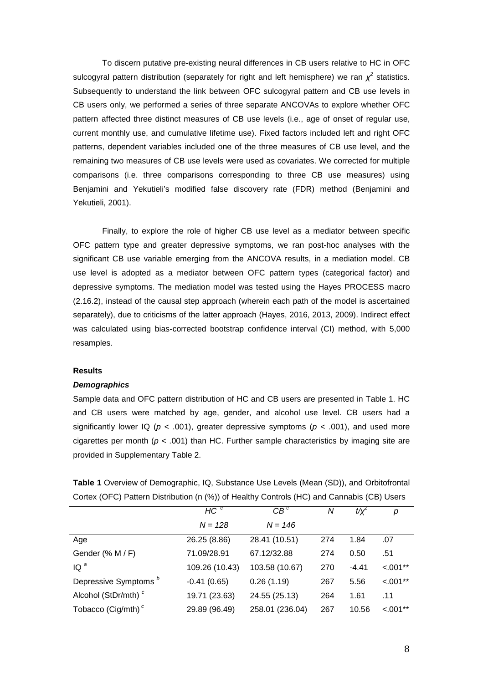To discern putative pre-existing neural differences in CB users relative to HC in OFC sulcogyral pattern distribution (separately for right and left hemisphere) we ran  $\chi^2$  statistics. Subsequently to understand the link between OFC sulcogyral pattern and CB use levels in CB users only, we performed a series of three separate ANCOVAs to explore whether OFC pattern affected three distinct measures of CB use levels (i.e., age of onset of regular use, current monthly use, and cumulative lifetime use). Fixed factors included left and right OFC patterns, dependent variables included one of the three measures of CB use level, and the remaining two measures of CB use levels were used as covariates. We corrected for multiple comparisons (i.e. three comparisons corresponding to three CB use measures) using Benjamini and Yekutieli's modified false discovery rate (FDR) method (Benjamini and Yekutieli, 2001).

Finally, to explore the role of higher CB use level as a mediator between specific OFC pattern type and greater depressive symptoms, we ran post-hoc analyses with the significant CB use variable emerging from the ANCOVA results, in a mediation model. CB use level is adopted as a mediator between OFC pattern types (categorical factor) and depressive symptoms. The mediation model was tested using the Hayes PROCESS macro (2.16.2), instead of the causal step approach (wherein each path of the model is ascertained separately), due to criticisms of the latter approach (Hayes, 2016, 2013, 2009). Indirect effect was calculated using bias-corrected bootstrap confidence interval (CI) method, with 5,000 resamples.

#### **Results**

#### *Demographics*

Sample data and OFC pattern distribution of HC and CB users are presented in Table 1. HC and CB users were matched by age, gender, and alcohol use level. CB users had a significantly lower IQ ( $p < .001$ ), greater depressive symptoms ( $p < .001$ ), and used more cigarettes per month ( $p < .001$ ) than HC. Further sample characteristics by imaging site are provided in Supplementary Table 2.

| <b>Table 1</b> Overview of Demographic, IQ, Substance Use Levels (Mean (SD)), and Orbitofrontal |
|-------------------------------------------------------------------------------------------------|
| Cortex (OFC) Pattern Distribution (n (%)) of Healthy Controls (HC) and Cannabis (CB) Users      |

|                                  | HC <sup>c</sup> | $CB^c$          | Ν   | t/y'    | р          |
|----------------------------------|-----------------|-----------------|-----|---------|------------|
|                                  | $N = 128$       | $N = 146$       |     |         |            |
| Age                              | 26.25 (8.86)    | 28.41 (10.51)   | 274 | 1.84    | .07        |
| Gender (% M / F)                 | 71.09/28.91     | 67.12/32.88     | 274 | 0.50    | .51        |
| $IQ^a$                           | 109.26 (10.43)  | 103.58 (10.67)  | 270 | $-4.41$ | $< 0.01**$ |
| Depressive Symptoms <sup>b</sup> | $-0.41(0.65)$   | 0.26(1.19)      | 267 | 5.56    | $< 0.01**$ |
| Alcohol (StDr/mth) <sup>c</sup>  | 19.71 (23.63)   | 24.55 (25.13)   | 264 | 1.61    | .11        |
| Tobacco (Cig/mth) $c$            | 29.89 (96.49)   | 258.01 (236.04) | 267 | 10.56   | $< 0.01**$ |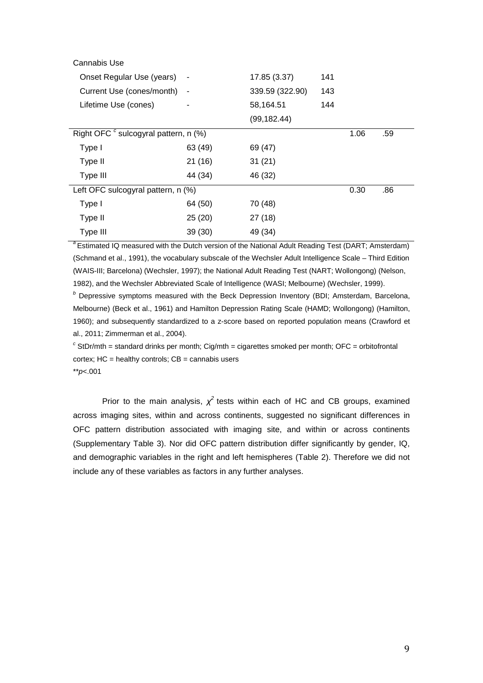| Cannabis Use                                     |                          |                 |      |     |  |
|--------------------------------------------------|--------------------------|-----------------|------|-----|--|
| Onset Regular Use (years)                        | $\overline{\phantom{a}}$ | 17.85 (3.37)    | 141  |     |  |
| Current Use (cones/month)<br>$\sim$              |                          | 339.59 (322.90) | 143  |     |  |
| Lifetime Use (cones)                             |                          | 58,164.51       | 144  |     |  |
|                                                  |                          | (99, 182.44)    |      |     |  |
| Right OFC <sup>c</sup> sulcogyral pattern, n (%) |                          |                 | 1.06 | .59 |  |
| Type I                                           | 63 (49)                  | 69 (47)         |      |     |  |
| Type II                                          | 21 (16)                  | 31(21)          |      |     |  |
| Type III                                         | 44 (34)                  | 46 (32)         |      |     |  |
| Left OFC sulcogyral pattern, n (%)               |                          |                 | 0.30 | .86 |  |
| Type I                                           | 64 (50)                  | 70 (48)         |      |     |  |
| Type II                                          | 25(20)                   | 27(18)          |      |     |  |
| Type III                                         | 39(30)                   | 49 (34)         |      |     |  |

<sup>a</sup> Estimated IQ measured with the Dutch version of the National Adult Reading Test (DART; Amsterdam) (Schmand et al., 1991), the vocabulary subscale of the Wechsler Adult Intelligence Scale – Third Edition (WAIS-III; Barcelona) (Wechsler, 1997); the National Adult Reading Test (NART; Wollongong) (Nelson, 1982), and the Wechsler Abbreviated Scale of Intelligence (WASI; Melbourne) (Wechsler, 1999).

*<sup>b</sup>* Depressive symptoms measured with the Beck Depression Inventory (BDI; Amsterdam, Barcelona, Melbourne) (Beck et al., 1961) and Hamilton Depression Rating Scale (HAMD; Wollongong) (Hamilton, 1960); and subsequently standardized to a z-score based on reported population means (Crawford et al., 2011; Zimmerman et al., 2004).

 $c^c$  StDr/mth = standard drinks per month; Cig/mth = cigarettes smoked per month; OFC = orbitofrontal cortex;  $HC =$  healthy controls;  $CB =$  cannabis users

\*\**p*<.001

Prior to the main analysis,  $\chi^2$  tests within each of HC and CB groups, examined across imaging sites, within and across continents, suggested no significant differences in OFC pattern distribution associated with imaging site, and within or across continents (Supplementary Table 3). Nor did OFC pattern distribution differ significantly by gender, IQ, and demographic variables in the right and left hemispheres (Table 2). Therefore we did not include any of these variables as factors in any further analyses.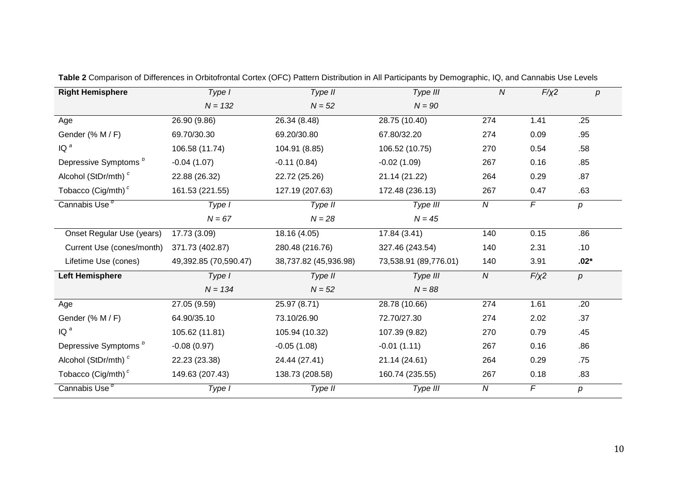| <b>Right Hemisphere</b>          | Type I                | Type II               | Type III              | ${\cal N}$       | $F/\chi^2$     | $\boldsymbol{p}$ |
|----------------------------------|-----------------------|-----------------------|-----------------------|------------------|----------------|------------------|
|                                  | $N = 132$             | $N = 52$              | $N = 90$              |                  |                |                  |
| Age                              | 26.90 (9.86)          | 26.34 (8.48)          | 28.75 (10.40)         | 274              | 1.41           | .25              |
| Gender (% M / F)                 | 69.70/30.30           | 69.20/30.80           | 67.80/32.20           | 274              | 0.09           | .95              |
| $IQ^a$                           | 106.58 (11.74)        | 104.91 (8.85)         | 106.52 (10.75)        | 270              | 0.54           | .58              |
| Depressive Symptoms <sup>b</sup> | $-0.04(1.07)$         | $-0.11(0.84)$         | $-0.02(1.09)$         | 267              | 0.16           | .85              |
| Alcohol (StDr/mth) <sup>c</sup>  | 22.88 (26.32)         | 22.72 (25.26)         | 21.14 (21.22)         | 264              | 0.29           | .87              |
| Tobacco (Cig/mth) <sup>c</sup>   | 161.53 (221.55)       | 127.19 (207.63)       | 172.48 (236.13)       | 267              | 0.47           | .63              |
| Cannabis Use <sup>d</sup>        | Type I                | Type II               | Type III              | $\boldsymbol{N}$ | $\overline{F}$ | р                |
|                                  | $N = 67$              | $N = 28$              | $N = 45$              |                  |                |                  |
| Onset Regular Use (years)        | 17.73 (3.09)          | 18.16 (4.05)          | 17.84 (3.41)          | 140              | 0.15           | .86              |
| Current Use (cones/month)        | 371.73 (402.87)       | 280.48 (216.76)       | 327.46 (243.54)       | 140              | 2.31           | .10              |
| Lifetime Use (cones)             | 49,392.85 (70,590.47) | 38,737.82 (45,936.98) | 73,538.91 (89,776.01) | 140              | 3.91           | $.02*$           |
| <b>Left Hemisphere</b>           | Type I                | Type II               | Type III              | $\boldsymbol{N}$ | $F/\chi$ 2     | р                |
|                                  | $N = 134$             | $N = 52$              | $N = 88$              |                  |                |                  |
| Age                              | 27.05 (9.59)          | 25.97 (8.71)          | 28.78 (10.66)         | 274              | 1.61           | .20              |
| Gender (% M / F)                 | 64.90/35.10           | 73.10/26.90           | 72.70/27.30           | 274              | 2.02           | .37              |
| $IQ^a$                           | 105.62 (11.81)        | 105.94 (10.32)        | 107.39 (9.82)         | 270              | 0.79           | .45              |
| Depressive Symptoms <sup>b</sup> | $-0.08(0.97)$         | $-0.05(1.08)$         | $-0.01(1.11)$         | 267              | 0.16           | .86              |
| Alcohol (StDr/mth) <sup>c</sup>  | 22.23 (23.38)         | 24.44 (27.41)         | 21.14 (24.61)         | 264              | 0.29           | .75              |
| Tobacco (Cig/mth) <sup>c</sup>   | 149.63 (207.43)       | 138.73 (208.58)       | 160.74 (235.55)       | 267              | 0.18           | .83              |
| Cannabis Use <sup>d</sup>        | Type I                | Type II               | Type III              | $\boldsymbol{N}$ | F              | р                |

**Table 2** Comparison of Differences in Orbitofrontal Cortex (OFC) Pattern Distribution in All Participants by Demographic, IQ, and Cannabis Use Levels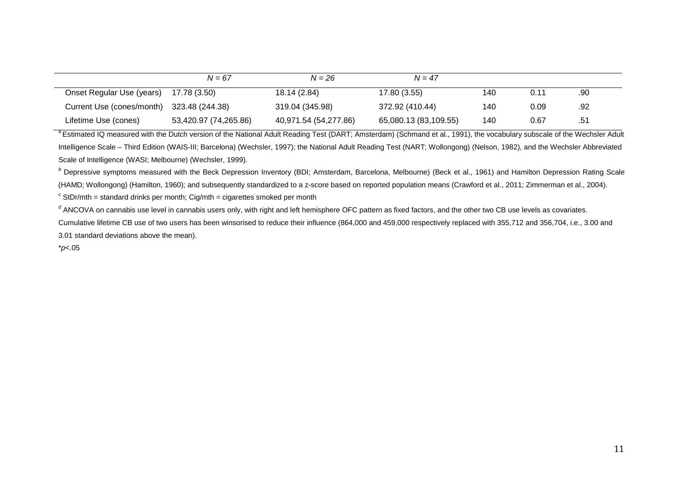|                           | $N = 67$              | $N = 26$              | $N = 47$              |     |      |     |  |
|---------------------------|-----------------------|-----------------------|-----------------------|-----|------|-----|--|
| Onset Regular Use (years) | 17.78 (3.50)          | 18.14 (2.84)          | 17.80 (3.55)          | 140 | 0.11 | .90 |  |
| Current Use (cones/month) | 323.48 (244.38)       | 319.04 (345.98)       | 372.92 (410.44)       | 140 | 0.09 | .92 |  |
| Lifetime Use (cones)      | 53,420.97 (74,265.86) | 40,971.54 (54,277.86) | 65,080.13 (83,109.55) | 140 | 0.67 | .51 |  |

<sup>a</sup> Estimated IQ measured with the Dutch version of the National Adult Reading Test (DART; Amsterdam) (Schmand et al., 1991), the vocabulary subscale of the Wechsler Adult Intelligence Scale – Third Edition (WAIS-III; Barcelona) (Wechsler, 1997); the National Adult Reading Test (NART; Wollongong) (Nelson, 1982), and the Wechsler Abbreviated Scale of Intelligence (WASI; Melbourne) (Wechsler, 1999).

<sup>*b*</sup> Depressive symptoms measured with the Beck Depression Inventory (BDI; Amsterdam, Barcelona, Melbourne) (Beck et al., 1961) and Hamilton Depression Rating Scale (HAMD; Wollongong) (Hamilton, 1960); and subsequently standardized to a z-score based on reported population means (Crawford et al., 2011; Zimmerman et al., 2004).

 $c^c$  StDr/mth = standard drinks per month; Cig/mth = cigarettes smoked per month

<sup>d</sup> ANCOVA on cannabis use level in cannabis users only, with right and left hemisphere OFC pattern as fixed factors, and the other two CB use levels as covariates. Cumulative lifetime CB use of two users has been winsorised to reduce their influence (864,000 and 459,000 respectively replaced with 355,712 and 356,704, i.e., 3.00 and 3.01 standard deviations above the mean).

\**p*<.05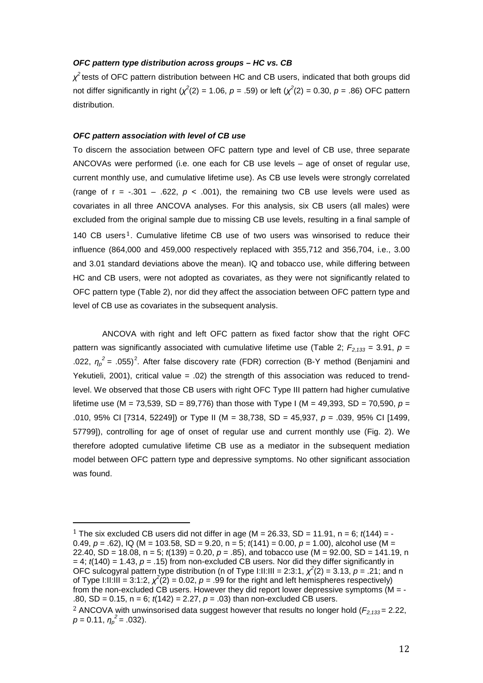#### *OFC pattern type distribution across groups – HC vs. CB*

*χ<sup>2</sup>*tests of OFC pattern distribution between HC and CB users, indicated that both groups did not differ significantly in right ( $\chi^2(2) = 1.06$ ,  $p = .59$ ) or left ( $\chi^2(2) = 0.30$ ,  $p = .86$ ) OFC pattern distribution.

#### *OFC pattern association with level of CB use*

To discern the association between OFC pattern type and level of CB use, three separate ANCOVAs were performed (i.e. one each for CB use levels – age of onset of regular use, current monthly use, and cumulative lifetime use). As CB use levels were strongly correlated (range of  $r = -.301 - .622$ ,  $p < .001$ ), the remaining two CB use levels were used as covariates in all three ANCOVA analyses. For this analysis, six CB users (all males) were excluded from [th](#page-2-0)e original sample due to missing CB use levels, resulting in a final sample of 140 CB users<sup>1</sup>. Cumulative lifetime CB use of two users was winsorised to reduce their influence (864,000 and 459,000 respectively replaced with 355,712 and 356,704, i.e., 3.00 and 3.01 standard deviations above the mean). IQ and tobacco use, while differing between HC and CB users, were not adopted as covariates, as they were not significantly related to OFC pattern type (Table 2), nor did they affect the association between OFC pattern type and level of CB use as covariates in the subsequent analysis.

ANCOVA with right and left OFC pattern as fixed factor show that the right OFC pattern was significantly associated with cumulative lifetime use (Table 2;  $F_{2,133} = 3.91$ ,  $p =$ .0[2](#page-13-0)2,  $\eta_p^2$  = .055)<sup>2</sup>. After false discovery rate (FDR) correction (B-Y method (Benjamini and Yekutieli, 2001), critical value  $= .02$ ) the strength of this association was reduced to trendlevel. We observed that those CB users with right OFC Type III pattern had higher cumulative lifetime use (M = 73,539, SD = 89,776) than those with Type I (M = 49,393, SD = 70,590, *p* = .010, 95% CI [7314, 52249]) or Type II (M = 38,738, SD = 45,937, *p* = .039, 95% CI [1499, 57799]), controlling for age of onset of regular use and current monthly use (Fig. 2). We therefore adopted cumulative lifetime CB use as a mediator in the subsequent mediation model between OFC pattern type and depressive symptoms. No other significant association was found.

<span id="page-13-1"></span><span id="page-13-0"></span><sup>&</sup>lt;sup>1</sup> The six excluded CB users did not differ in age (M = 26.33, SD = 11.91, n = 6;  $t(144)$  = -0.49, *p* = .62), IQ (M = 103.58, SD = 9.20, n = 5; *t*(141) = 0.00, *p* = 1.00), alcohol use (M = 22.40, SD = 18.08, n = 5; *t*(139) = 0.20, *p* = .85), and tobacco use (M = 92.00, SD = 141.19, n  $= 4$ ;  $t(140) = 1.43$ ,  $p = .15$ ) from non-excluded CB users. Nor did they differ significantly in OFC sulcogyral pattern type distribution (n of Type I:II:III = 2:3:1,  $\chi^2(2)$  = 3.13,  $p$  = .21; and n of Type I:II:III = 3:1:2,  $\chi^2(2)$  = 0.02,  $p = .99$  for the right and left hemispheres respectively) from the non-excluded CB users. However they did report lower depressive symptoms ( $M = -$ .80, SD = 0.15, n = 6; *t*(142) = 2.27, *p* = .03) than non-excluded CB users. <sup>2</sup> ANCOVA with unwinsorised data suggest however that results no longer hold ( $F_{2,133}$  = 2.22,  $p = 0.11, \eta_p^2 = .032$ ).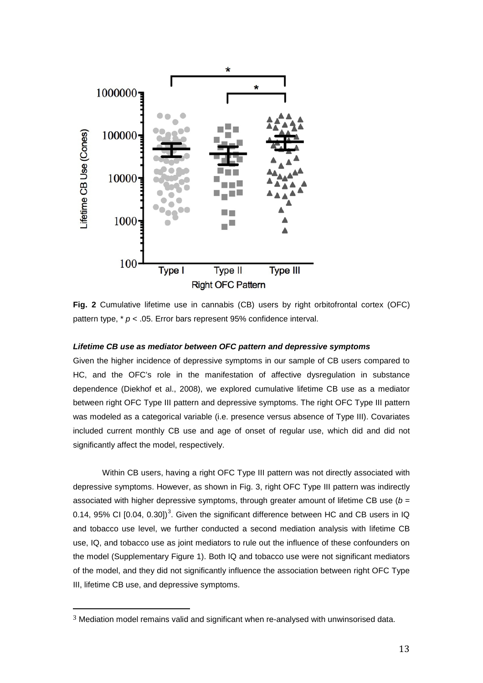

**Fig. 2** Cumulative lifetime use in cannabis (CB) users by right orbitofrontal cortex (OFC) pattern type, \* *p* < .05. Error bars represent 95% confidence interval.

#### *Lifetime CB use as mediator between OFC pattern and depressive symptoms*

Given the higher incidence of depressive symptoms in our sample of CB users compared to HC, and the OFC's role in the manifestation of affective dysregulation in substance dependence (Diekhof et al., 2008), we explored cumulative lifetime CB use as a mediator between right OFC Type III pattern and depressive symptoms. The right OFC Type III pattern was modeled as a categorical variable (i.e. presence versus absence of Type III). Covariates included current monthly CB use and age of onset of regular use, which did and did not significantly affect the model, respectively.

Within CB users, having a right OFC Type III pattern was not directly associated with depressive symptoms. However, as shown in Fig. 3, right OFC Type III pattern was indirectly associated with higher depressive symptoms, through greater amount of lifetime CB use (*b* = 0.14, 95% CI [0.04, 0.[3](#page-13-1)0])<sup>3</sup>. Given the significant difference between HC and CB users in IQ and tobacco use level, we further conducted a second mediation analysis with lifetime CB use, IQ, and tobacco use as joint mediators to rule out the influence of these confounders on the model (Supplementary Figure 1). Both IQ and tobacco use were not significant mediators of the model, and they did not significantly influence the association between right OFC Type III, lifetime CB use, and depressive symptoms.

 <sup>3</sup> Mediation model remains valid and significant when re-analysed with unwinsorised data.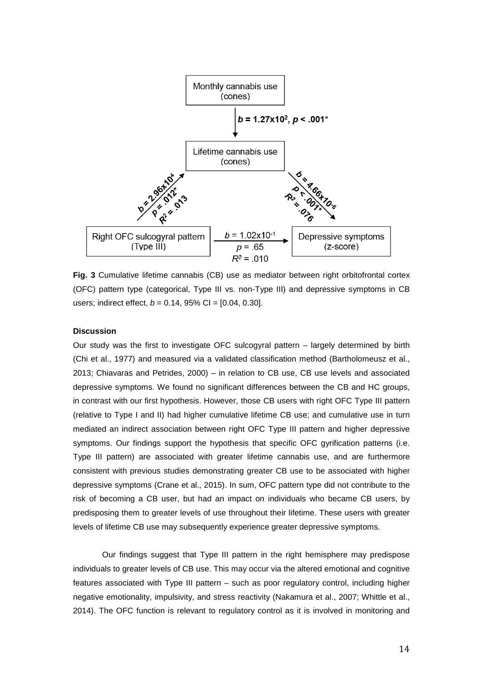

**Fig. 3** Cumulative lifetime cannabis (CB) use as mediator between right orbitofrontal cortex (OFC) pattern type (categorical, Type III vs. non-Type III) and depressive symptoms in CB users; indirect effect, *b* = 0.14, 95% CI = [0.04, 0.30].

#### **Discussion**

Our study was the first to investigate OFC sulcogyral pattern – largely determined by birth (Chi et al., 1977) and measured via a validated classification method (Bartholomeusz et al., 2013; Chiavaras and Petrides, 2000) – in relation to CB use, CB use levels and associated depressive symptoms. We found no significant differences between the CB and HC groups, in contrast with our first hypothesis. However, those CB users with right OFC Type III pattern (relative to Type I and II) had higher cumulative lifetime CB use; and cumulative use in turn mediated an indirect association between right OFC Type III pattern and higher depressive symptoms. Our findings support the hypothesis that specific OFC gyrification patterns (i.e. Type III pattern) are associated with greater lifetime cannabis use, and are furthermore consistent with previous studies demonstrating greater CB use to be associated with higher depressive symptoms (Crane et al., 2015). In sum, OFC pattern type did not contribute to the risk of becoming a CB user, but had an impact on individuals who became CB users, by predisposing them to greater levels of use throughout their lifetime. These users with greater levels of lifetime CB use may subsequently experience greater depressive symptoms.

Our findings suggest that Type III pattern in the right hemisphere may predispose individuals to greater levels of CB use. This may occur via the altered emotional and cognitive features associated with Type III pattern – such as poor regulatory control, including higher negative emotionality, impulsivity, and stress reactivity (Nakamura et al., 2007; Whittle et al., 2014). The OFC function is relevant to regulatory control as it is involved in monitoring and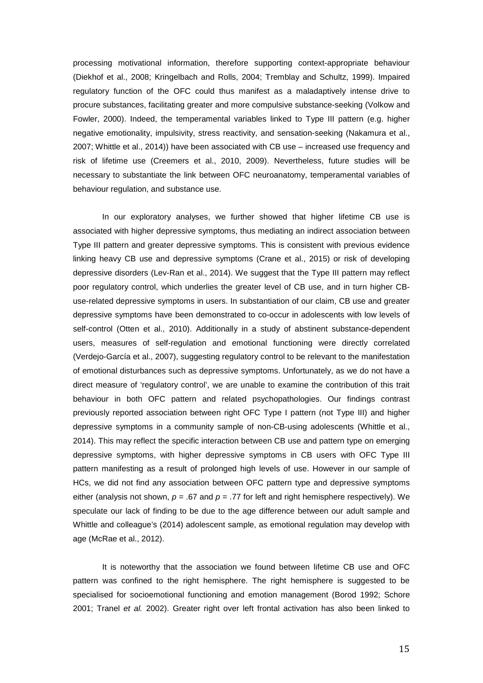processing motivational information, therefore supporting context-appropriate behaviour (Diekhof et al., 2008; Kringelbach and Rolls, 2004; Tremblay and Schultz, 1999). Impaired regulatory function of the OFC could thus manifest as a maladaptively intense drive to procure substances, facilitating greater and more compulsive substance-seeking (Volkow and Fowler, 2000). Indeed, the temperamental variables linked to Type III pattern (e.g. higher negative emotionality, impulsivity, stress reactivity, and sensation-seeking (Nakamura et al., 2007; Whittle et al., 2014)) have been associated with CB use – increased use frequency and risk of lifetime use (Creemers et al., 2010, 2009). Nevertheless, future studies will be necessary to substantiate the link between OFC neuroanatomy, temperamental variables of behaviour regulation, and substance use.

In our exploratory analyses, we further showed that higher lifetime CB use is associated with higher depressive symptoms, thus mediating an indirect association between Type III pattern and greater depressive symptoms. This is consistent with previous evidence linking heavy CB use and depressive symptoms (Crane et al., 2015) or risk of developing depressive disorders (Lev-Ran et al., 2014). We suggest that the Type III pattern may reflect poor regulatory control, which underlies the greater level of CB use, and in turn higher CBuse-related depressive symptoms in users. In substantiation of our claim, CB use and greater depressive symptoms have been demonstrated to co-occur in adolescents with low levels of self-control (Otten et al., 2010). Additionally in a study of abstinent substance-dependent users, measures of self-regulation and emotional functioning were directly correlated (Verdejo-García et al., 2007), suggesting regulatory control to be relevant to the manifestation of emotional disturbances such as depressive symptoms. Unfortunately, as we do not have a direct measure of 'regulatory control', we are unable to examine the contribution of this trait behaviour in both OFC pattern and related psychopathologies. Our findings contrast previously reported association between right OFC Type I pattern (not Type III) and higher depressive symptoms in a community sample of non-CB-using adolescents (Whittle et al., 2014). This may reflect the specific interaction between CB use and pattern type on emerging depressive symptoms, with higher depressive symptoms in CB users with OFC Type III pattern manifesting as a result of prolonged high levels of use. However in our sample of HCs, we did not find any association between OFC pattern type and depressive symptoms either (analysis not shown, *p* = .67 and *p* = .77 for left and right hemisphere respectively). We speculate our lack of finding to be due to the age difference between our adult sample and Whittle and colleague's (2014) adolescent sample, as emotional regulation may develop with age (McRae et al., 2012).

It is noteworthy that the association we found between lifetime CB use and OFC pattern was confined to the right hemisphere. The right hemisphere is suggested to be specialised for socioemotional functioning and emotion management (Borod 1992; Schore 2001; Tranel *et al.* 2002). Greater right over left frontal activation has also been linked to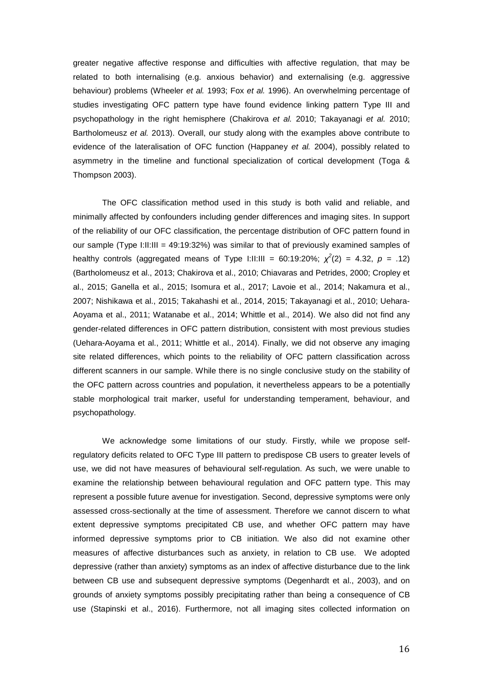greater negative affective response and difficulties with affective regulation, that may be related to both internalising (e.g. anxious behavior) and externalising (e.g. aggressive behaviour) problems (Wheeler *et al.* 1993; Fox *et al.* 1996). An overwhelming percentage of studies investigating OFC pattern type have found evidence linking pattern Type III and psychopathology in the right hemisphere (Chakirova *et al.* 2010; Takayanagi *et al.* 2010; Bartholomeusz *et al.* 2013). Overall, our study along with the examples above contribute to evidence of the lateralisation of OFC function (Happaney *et al.* 2004), possibly related to asymmetry in the timeline and functional specialization of cortical development (Toga & Thompson 2003).

The OFC classification method used in this study is both valid and reliable, and minimally affected by confounders including gender differences and imaging sites. In support of the reliability of our OFC classification, the percentage distribution of OFC pattern found in our sample (Type I:II:III = 49:19:32%) was similar to that of previously examined samples of healthy controls (aggregated means of Type I:II:III = 60:19:20%;  $\chi^2(2)$  = 4.32,  $p = .12$ ) (Bartholomeusz et al., 2013; Chakirova et al., 2010; Chiavaras and Petrides, 2000; Cropley et al., 2015; Ganella et al., 2015; Isomura et al., 2017; Lavoie et al., 2014; Nakamura et al., 2007; Nishikawa et al., 2015; Takahashi et al., 2014, 2015; Takayanagi et al., 2010; Uehara-Aoyama et al., 2011; Watanabe et al., 2014; Whittle et al., 2014). We also did not find any gender-related differences in OFC pattern distribution, consistent with most previous studies (Uehara-Aoyama et al., 2011; Whittle et al., 2014). Finally, we did not observe any imaging site related differences, which points to the reliability of OFC pattern classification across different scanners in our sample. While there is no single conclusive study on the stability of the OFC pattern across countries and population, it nevertheless appears to be a potentially stable morphological trait marker, useful for understanding temperament, behaviour, and psychopathology.

We acknowledge some limitations of our study. Firstly, while we propose selfregulatory deficits related to OFC Type III pattern to predispose CB users to greater levels of use, we did not have measures of behavioural self-regulation. As such, we were unable to examine the relationship between behavioural regulation and OFC pattern type. This may represent a possible future avenue for investigation. Second, depressive symptoms were only assessed cross-sectionally at the time of assessment. Therefore we cannot discern to what extent depressive symptoms precipitated CB use, and whether OFC pattern may have informed depressive symptoms prior to CB initiation. We also did not examine other measures of affective disturbances such as anxiety, in relation to CB use. We adopted depressive (rather than anxiety) symptoms as an index of affective disturbance due to the link between CB use and subsequent depressive symptoms (Degenhardt et al., 2003), and on grounds of anxiety symptoms possibly precipitating rather than being a consequence of CB use (Stapinski et al., 2016). Furthermore, not all imaging sites collected information on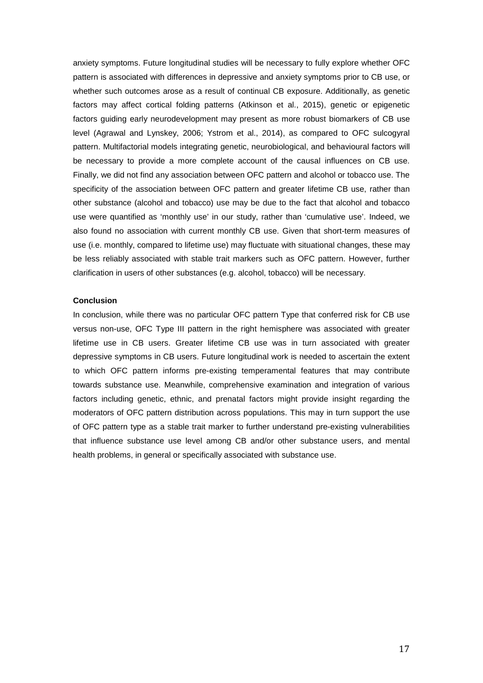anxiety symptoms. Future longitudinal studies will be necessary to fully explore whether OFC pattern is associated with differences in depressive and anxiety symptoms prior to CB use, or whether such outcomes arose as a result of continual CB exposure. Additionally, as genetic factors may affect cortical folding patterns (Atkinson et al., 2015), genetic or epigenetic factors guiding early neurodevelopment may present as more robust biomarkers of CB use level (Agrawal and Lynskey, 2006; Ystrom et al., 2014), as compared to OFC sulcogyral pattern. Multifactorial models integrating genetic, neurobiological, and behavioural factors will be necessary to provide a more complete account of the causal influences on CB use. Finally, we did not find any association between OFC pattern and alcohol or tobacco use. The specificity of the association between OFC pattern and greater lifetime CB use, rather than other substance (alcohol and tobacco) use may be due to the fact that alcohol and tobacco use were quantified as 'monthly use' in our study, rather than 'cumulative use'. Indeed, we also found no association with current monthly CB use. Given that short-term measures of use (i.e. monthly, compared to lifetime use) may fluctuate with situational changes, these may be less reliably associated with stable trait markers such as OFC pattern. However, further clarification in users of other substances (e.g. alcohol, tobacco) will be necessary.

#### **Conclusion**

In conclusion, while there was no particular OFC pattern Type that conferred risk for CB use versus non-use, OFC Type III pattern in the right hemisphere was associated with greater lifetime use in CB users. Greater lifetime CB use was in turn associated with greater depressive symptoms in CB users. Future longitudinal work is needed to ascertain the extent to which OFC pattern informs pre-existing temperamental features that may contribute towards substance use. Meanwhile, comprehensive examination and integration of various factors including genetic, ethnic, and prenatal factors might provide insight regarding the moderators of OFC pattern distribution across populations. This may in turn support the use of OFC pattern type as a stable trait marker to further understand pre-existing vulnerabilities that influence substance use level among CB and/or other substance users, and mental health problems, in general or specifically associated with substance use.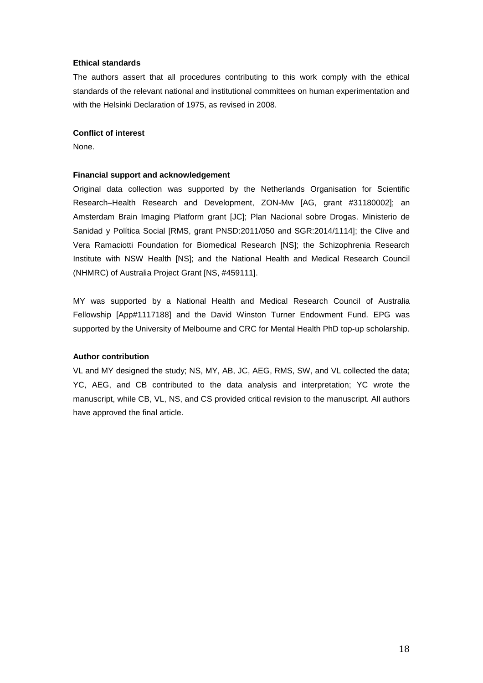#### **Ethical standards**

The authors assert that all procedures contributing to this work comply with the ethical standards of the relevant national and institutional committees on human experimentation and with the Helsinki Declaration of 1975, as revised in 2008.

#### **Conflict of interest**

None.

#### **Financial support and acknowledgement**

Original data collection was supported by the Netherlands Organisation for Scientific Research–Health Research and Development, ZON-Mw [AG, grant #31180002]; an Amsterdam Brain Imaging Platform grant [JC]; Plan Nacional sobre Drogas. Ministerio de Sanidad y Política Social [RMS, grant PNSD:2011/050 and SGR:2014/1114]; the Clive and Vera Ramaciotti Foundation for Biomedical Research [NS]; the Schizophrenia Research Institute with NSW Health [NS]; and the National Health and Medical Research Council (NHMRC) of Australia Project Grant [NS, #459111].

MY was supported by a National Health and Medical Research Council of Australia Fellowship [App#1117188] and the David Winston Turner Endowment Fund. EPG was supported by the University of Melbourne and CRC for Mental Health PhD top-up scholarship.

#### **Author contribution**

VL and MY designed the study; NS, MY, AB, JC, AEG, RMS, SW, and VL collected the data; YC, AEG, and CB contributed to the data analysis and interpretation; YC wrote the manuscript, while CB, VL, NS, and CS provided critical revision to the manuscript. All authors have approved the final article.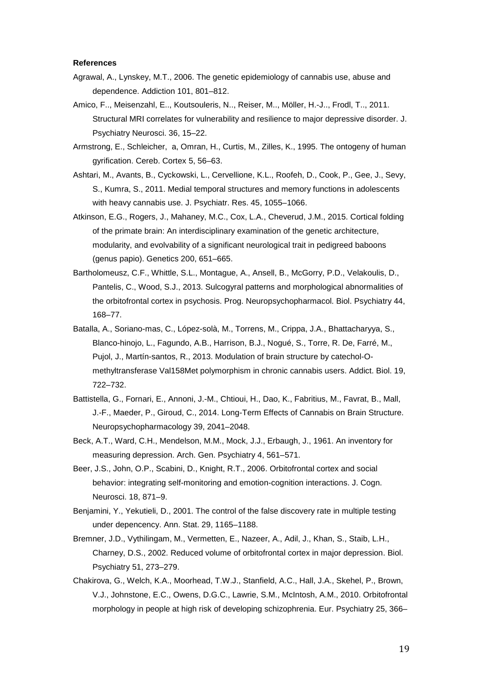#### **References**

- Agrawal, A., Lynskey, M.T., 2006. The genetic epidemiology of cannabis use, abuse and dependence. Addiction 101, 801–812.
- Amico, F.., Meisenzahl, E.., Koutsouleris, N.., Reiser, M.., Möller, H.-J.., Frodl, T.., 2011. Structural MRI correlates for vulnerability and resilience to major depressive disorder. J. Psychiatry Neurosci. 36, 15–22.
- Armstrong, E., Schleicher, a, Omran, H., Curtis, M., Zilles, K., 1995. The ontogeny of human gyrification. Cereb. Cortex 5, 56–63.
- Ashtari, M., Avants, B., Cyckowski, L., Cervellione, K.L., Roofeh, D., Cook, P., Gee, J., Sevy, S., Kumra, S., 2011. Medial temporal structures and memory functions in adolescents with heavy cannabis use. J. Psychiatr. Res. 45, 1055–1066.
- Atkinson, E.G., Rogers, J., Mahaney, M.C., Cox, L.A., Cheverud, J.M., 2015. Cortical folding of the primate brain: An interdisciplinary examination of the genetic architecture, modularity, and evolvability of a significant neurological trait in pedigreed baboons (genus papio). Genetics 200, 651–665.
- Bartholomeusz, C.F., Whittle, S.L., Montague, A., Ansell, B., McGorry, P.D., Velakoulis, D., Pantelis, C., Wood, S.J., 2013. Sulcogyral patterns and morphological abnormalities of the orbitofrontal cortex in psychosis. Prog. Neuropsychopharmacol. Biol. Psychiatry 44, 168–77.
- Batalla, A., Soriano-mas, C., López-solà, M., Torrens, M., Crippa, J.A., Bhattacharyya, S., Blanco-hinojo, L., Fagundo, A.B., Harrison, B.J., Nogué, S., Torre, R. De, Farré, M., Pujol, J., Martín-santos, R., 2013. Modulation of brain structure by catechol-Omethyltransferase Val158Met polymorphism in chronic cannabis users. Addict. Biol. 19, 722–732.
- Battistella, G., Fornari, E., Annoni, J.-M., Chtioui, H., Dao, K., Fabritius, M., Favrat, B., Mall, J.-F., Maeder, P., Giroud, C., 2014. Long-Term Effects of Cannabis on Brain Structure. Neuropsychopharmacology 39, 2041–2048.
- Beck, A.T., Ward, C.H., Mendelson, M.M., Mock, J.J., Erbaugh, J., 1961. An inventory for measuring depression. Arch. Gen. Psychiatry 4, 561–571.
- Beer, J.S., John, O.P., Scabini, D., Knight, R.T., 2006. Orbitofrontal cortex and social behavior: integrating self-monitoring and emotion-cognition interactions. J. Cogn. Neurosci. 18, 871–9.
- Benjamini, Y., Yekutieli, D., 2001. The control of the false discovery rate in multiple testing under depencency. Ann. Stat. 29, 1165–1188.
- Bremner, J.D., Vythilingam, M., Vermetten, E., Nazeer, A., Adil, J., Khan, S., Staib, L.H., Charney, D.S., 2002. Reduced volume of orbitofrontal cortex in major depression. Biol. Psychiatry 51, 273–279.
- Chakirova, G., Welch, K.A., Moorhead, T.W.J., Stanfield, A.C., Hall, J.A., Skehel, P., Brown, V.J., Johnstone, E.C., Owens, D.G.C., Lawrie, S.M., McIntosh, A.M., 2010. Orbitofrontal morphology in people at high risk of developing schizophrenia. Eur. Psychiatry 25, 366–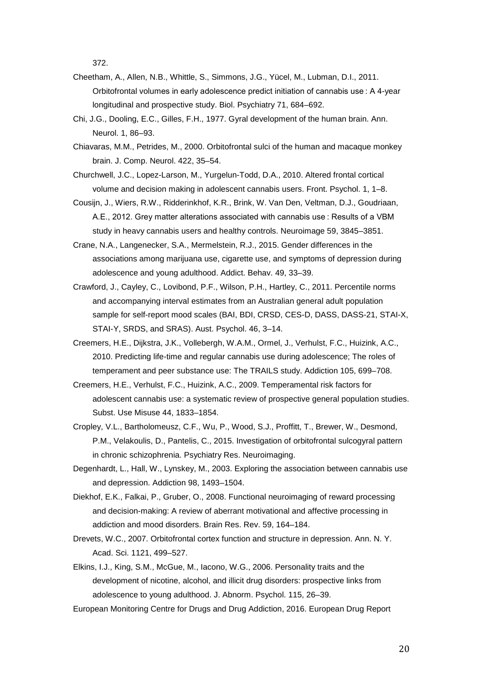372.

- Cheetham, A., Allen, N.B., Whittle, S., Simmons, J.G., Yücel, M., Lubman, D.I., 2011. Orbitofrontal volumes in early adolescence predict initiation of cannabis use : A 4-year longitudinal and prospective study. Biol. Psychiatry 71, 684–692.
- Chi, J.G., Dooling, E.C., Gilles, F.H., 1977. Gyral development of the human brain. Ann. Neurol. 1, 86–93.
- Chiavaras, M.M., Petrides, M., 2000. Orbitofrontal sulci of the human and macaque monkey brain. J. Comp. Neurol. 422, 35–54.

Churchwell, J.C., Lopez-Larson, M., Yurgelun-Todd, D.A., 2010. Altered frontal cortical volume and decision making in adolescent cannabis users. Front. Psychol. 1, 1–8.

- Cousijn, J., Wiers, R.W., Ridderinkhof, K.R., Brink, W. Van Den, Veltman, D.J., Goudriaan, A.E., 2012. Grey matter alterations associated with cannabis use : Results of a VBM study in heavy cannabis users and healthy controls. Neuroimage 59, 3845–3851.
- Crane, N.A., Langenecker, S.A., Mermelstein, R.J., 2015. Gender differences in the associations among marijuana use, cigarette use, and symptoms of depression during adolescence and young adulthood. Addict. Behav. 49, 33–39.
- Crawford, J., Cayley, C., Lovibond, P.F., Wilson, P.H., Hartley, C., 2011. Percentile norms and accompanying interval estimates from an Australian general adult population sample for self-report mood scales (BAI, BDI, CRSD, CES-D, DASS, DASS-21, STAI-X, STAI-Y, SRDS, and SRAS). Aust. Psychol. 46, 3–14.
- Creemers, H.E., Dijkstra, J.K., Vollebergh, W.A.M., Ormel, J., Verhulst, F.C., Huizink, A.C., 2010. Predicting life-time and regular cannabis use during adolescence; The roles of temperament and peer substance use: The TRAILS study. Addiction 105, 699–708.
- Creemers, H.E., Verhulst, F.C., Huizink, A.C., 2009. Temperamental risk factors for adolescent cannabis use: a systematic review of prospective general population studies. Subst. Use Misuse 44, 1833–1854.
- Cropley, V.L., Bartholomeusz, C.F., Wu, P., Wood, S.J., Proffitt, T., Brewer, W., Desmond, P.M., Velakoulis, D., Pantelis, C., 2015. Investigation of orbitofrontal sulcogyral pattern in chronic schizophrenia. Psychiatry Res. Neuroimaging.
- Degenhardt, L., Hall, W., Lynskey, M., 2003. Exploring the association between cannabis use and depression. Addiction 98, 1493–1504.
- Diekhof, E.K., Falkai, P., Gruber, O., 2008. Functional neuroimaging of reward processing and decision-making: A review of aberrant motivational and affective processing in addiction and mood disorders. Brain Res. Rev. 59, 164–184.
- Drevets, W.C., 2007. Orbitofrontal cortex function and structure in depression. Ann. N. Y. Acad. Sci. 1121, 499–527.
- Elkins, I.J., King, S.M., McGue, M., Iacono, W.G., 2006. Personality traits and the development of nicotine, alcohol, and illicit drug disorders: prospective links from adolescence to young adulthood. J. Abnorm. Psychol. 115, 26–39.
- European Monitoring Centre for Drugs and Drug Addiction, 2016. European Drug Report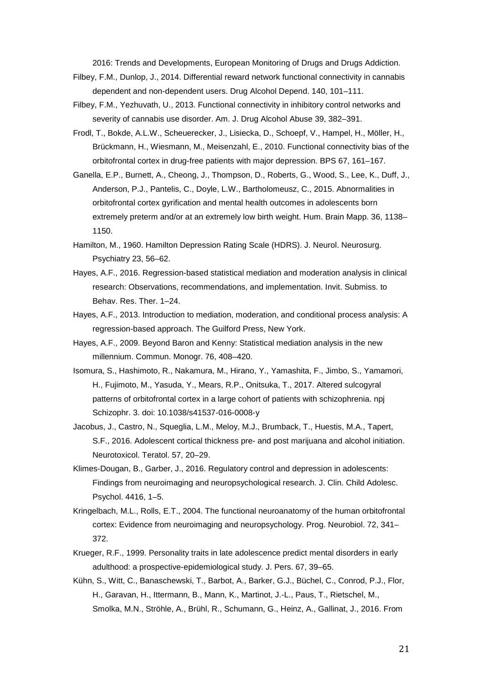2016: Trends and Developments, European Monitoring of Drugs and Drugs Addiction.

- Filbey, F.M., Dunlop, J., 2014. Differential reward network functional connectivity in cannabis dependent and non-dependent users. Drug Alcohol Depend. 140, 101–111.
- Filbey, F.M., Yezhuvath, U., 2013. Functional connectivity in inhibitory control networks and severity of cannabis use disorder. Am. J. Drug Alcohol Abuse 39, 382–391.
- Frodl, T., Bokde, A.L.W., Scheuerecker, J., Lisiecka, D., Schoepf, V., Hampel, H., Möller, H., Brückmann, H., Wiesmann, M., Meisenzahl, E., 2010. Functional connectivity bias of the orbitofrontal cortex in drug-free patients with major depression. BPS 67, 161–167.
- Ganella, E.P., Burnett, A., Cheong, J., Thompson, D., Roberts, G., Wood, S., Lee, K., Duff, J., Anderson, P.J., Pantelis, C., Doyle, L.W., Bartholomeusz, C., 2015. Abnormalities in orbitofrontal cortex gyrification and mental health outcomes in adolescents born extremely preterm and/or at an extremely low birth weight. Hum. Brain Mapp. 36, 1138– 1150.
- Hamilton, M., 1960. Hamilton Depression Rating Scale (HDRS). J. Neurol. Neurosurg. Psychiatry 23, 56–62.
- Hayes, A.F., 2016. Regression-based statistical mediation and moderation analysis in clinical research: Observations, recommendations, and implementation. Invit. Submiss. to Behav. Res. Ther. 1–24.
- Hayes, A.F., 2013. Introduction to mediation, moderation, and conditional process analysis: A regression-based approach. The Guilford Press, New York.
- Hayes, A.F., 2009. Beyond Baron and Kenny: Statistical mediation analysis in the new millennium. Commun. Monogr. 76, 408–420.
- Isomura, S., Hashimoto, R., Nakamura, M., Hirano, Y., Yamashita, F., Jimbo, S., Yamamori, H., Fujimoto, M., Yasuda, Y., Mears, R.P., Onitsuka, T., 2017. Altered sulcogyral patterns of orbitofrontal cortex in a large cohort of patients with schizophrenia. npj Schizophr. 3. doi: 10.1038/s41537-016-0008-y
- Jacobus, J., Castro, N., Squeglia, L.M., Meloy, M.J., Brumback, T., Huestis, M.A., Tapert, S.F., 2016. Adolescent cortical thickness pre- and post marijuana and alcohol initiation. Neurotoxicol. Teratol. 57, 20–29.
- Klimes-Dougan, B., Garber, J., 2016. Regulatory control and depression in adolescents: Findings from neuroimaging and neuropsychological research. J. Clin. Child Adolesc. Psychol. 4416, 1–5.
- Kringelbach, M.L., Rolls, E.T., 2004. The functional neuroanatomy of the human orbitofrontal cortex: Evidence from neuroimaging and neuropsychology. Prog. Neurobiol. 72, 341– 372.
- Krueger, R.F., 1999. Personality traits in late adolescence predict mental disorders in early adulthood: a prospective-epidemiological study. J. Pers. 67, 39–65.
- Kühn, S., Witt, C., Banaschewski, T., Barbot, A., Barker, G.J., Büchel, C., Conrod, P.J., Flor, H., Garavan, H., Ittermann, B., Mann, K., Martinot, J.-L., Paus, T., Rietschel, M., Smolka, M.N., Ströhle, A., Brühl, R., Schumann, G., Heinz, A., Gallinat, J., 2016. From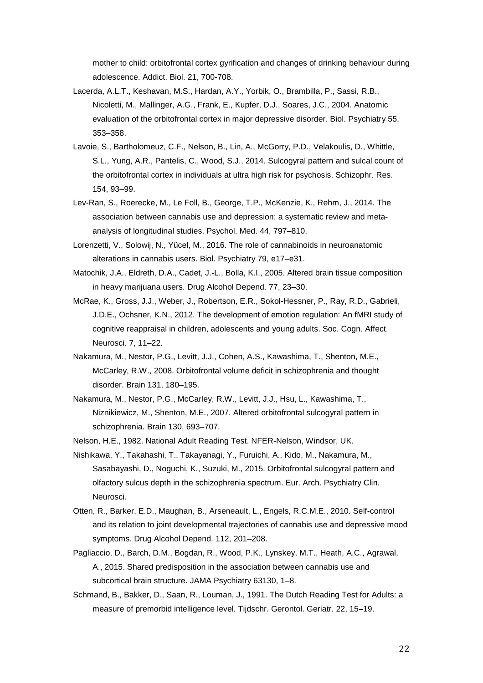mother to child: orbitofrontal cortex gyrification and changes of drinking behaviour during adolescence. Addict. Biol. 21, 700-708.

- Lacerda, A.L.T., Keshavan, M.S., Hardan, A.Y., Yorbik, O., Brambilla, P., Sassi, R.B., Nicoletti, M., Mallinger, A.G., Frank, E., Kupfer, D.J., Soares, J.C., 2004. Anatomic evaluation of the orbitofrontal cortex in major depressive disorder. Biol. Psychiatry 55, 353–358.
- Lavoie, S., Bartholomeuz, C.F., Nelson, B., Lin, A., McGorry, P.D., Velakoulis, D., Whittle, S.L., Yung, A.R., Pantelis, C., Wood, S.J., 2014. Sulcogyral pattern and sulcal count of the orbitofrontal cortex in individuals at ultra high risk for psychosis. Schizophr. Res. 154, 93–99.
- Lev-Ran, S., Roerecke, M., Le Foll, B., George, T.P., McKenzie, K., Rehm, J., 2014. The association between cannabis use and depression: a systematic review and metaanalysis of longitudinal studies. Psychol. Med. 44, 797–810.
- Lorenzetti, V., Solowij, N., Yücel, M., 2016. The role of cannabinoids in neuroanatomic alterations in cannabis users. Biol. Psychiatry 79, e17–e31.
- Matochik, J.A., Eldreth, D.A., Cadet, J.-L., Bolla, K.I., 2005. Altered brain tissue composition in heavy marijuana users. Drug Alcohol Depend. 77, 23–30.
- McRae, K., Gross, J.J., Weber, J., Robertson, E.R., Sokol-Hessner, P., Ray, R.D., Gabrieli, J.D.E., Ochsner, K.N., 2012. The development of emotion regulation: An fMRI study of cognitive reappraisal in children, adolescents and young adults. Soc. Cogn. Affect. Neurosci. 7, 11–22.
- Nakamura, M., Nestor, P.G., Levitt, J.J., Cohen, A.S., Kawashima, T., Shenton, M.E., McCarley, R.W., 2008. Orbitofrontal volume deficit in schizophrenia and thought disorder. Brain 131, 180–195.
- Nakamura, M., Nestor, P.G., McCarley, R.W., Levitt, J.J., Hsu, L., Kawashima, T., Niznikiewicz, M., Shenton, M.E., 2007. Altered orbitofrontal sulcogyral pattern in schizophrenia. Brain 130, 693–707.
- Nelson, H.E., 1982. National Adult Reading Test. NFER-Nelson, Windsor, UK.
- Nishikawa, Y., Takahashi, T., Takayanagi, Y., Furuichi, A., Kido, M., Nakamura, M., Sasabayashi, D., Noguchi, K., Suzuki, M., 2015. Orbitofrontal sulcogyral pattern and olfactory sulcus depth in the schizophrenia spectrum. Eur. Arch. Psychiatry Clin. Neurosci.
- Otten, R., Barker, E.D., Maughan, B., Arseneault, L., Engels, R.C.M.E., 2010. Self-control and its relation to joint developmental trajectories of cannabis use and depressive mood symptoms. Drug Alcohol Depend. 112, 201–208.
- Pagliaccio, D., Barch, D.M., Bogdan, R., Wood, P.K., Lynskey, M.T., Heath, A.C., Agrawal, A., 2015. Shared predisposition in the association between cannabis use and subcortical brain structure. JAMA Psychiatry 63130, 1–8.
- Schmand, B., Bakker, D., Saan, R., Louman, J., 1991. The Dutch Reading Test for Adults: a measure of premorbid intelligence level. Tijdschr. Gerontol. Geriatr. 22, 15–19.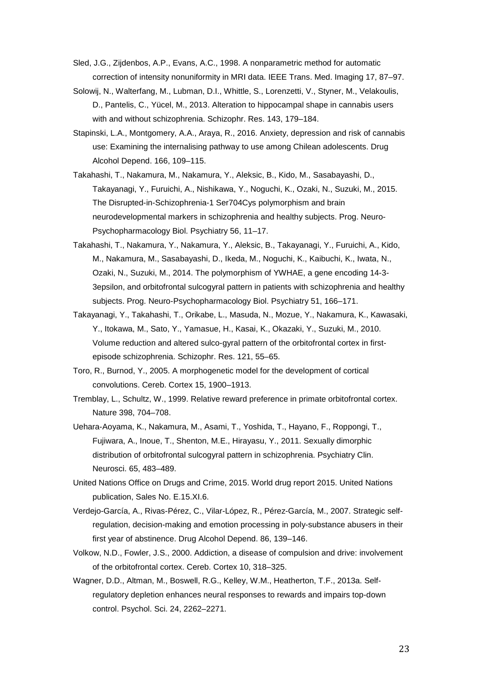Sled, J.G., Zijdenbos, A.P., Evans, A.C., 1998. A nonparametric method for automatic correction of intensity nonuniformity in MRI data. IEEE Trans. Med. Imaging 17, 87–97.

- Solowij, N., Walterfang, M., Lubman, D.I., Whittle, S., Lorenzetti, V., Styner, M., Velakoulis, D., Pantelis, C., Yücel, M., 2013. Alteration to hippocampal shape in cannabis users with and without schizophrenia. Schizophr. Res. 143, 179–184.
- Stapinski, L.A., Montgomery, A.A., Araya, R., 2016. Anxiety, depression and risk of cannabis use: Examining the internalising pathway to use among Chilean adolescents. Drug Alcohol Depend. 166, 109–115.
- Takahashi, T., Nakamura, M., Nakamura, Y., Aleksic, B., Kido, M., Sasabayashi, D., Takayanagi, Y., Furuichi, A., Nishikawa, Y., Noguchi, K., Ozaki, N., Suzuki, M., 2015. The Disrupted-in-Schizophrenia-1 Ser704Cys polymorphism and brain neurodevelopmental markers in schizophrenia and healthy subjects. Prog. Neuro-Psychopharmacology Biol. Psychiatry 56, 11–17.
- Takahashi, T., Nakamura, Y., Nakamura, Y., Aleksic, B., Takayanagi, Y., Furuichi, A., Kido, M., Nakamura, M., Sasabayashi, D., Ikeda, M., Noguchi, K., Kaibuchi, K., Iwata, N., Ozaki, N., Suzuki, M., 2014. The polymorphism of YWHAE, a gene encoding 14-3- 3epsilon, and orbitofrontal sulcogyral pattern in patients with schizophrenia and healthy subjects. Prog. Neuro-Psychopharmacology Biol. Psychiatry 51, 166–171.
- Takayanagi, Y., Takahashi, T., Orikabe, L., Masuda, N., Mozue, Y., Nakamura, K., Kawasaki, Y., Itokawa, M., Sato, Y., Yamasue, H., Kasai, K., Okazaki, Y., Suzuki, M., 2010. Volume reduction and altered sulco-gyral pattern of the orbitofrontal cortex in firstepisode schizophrenia. Schizophr. Res. 121, 55–65.
- Toro, R., Burnod, Y., 2005. A morphogenetic model for the development of cortical convolutions. Cereb. Cortex 15, 1900–1913.
- Tremblay, L., Schultz, W., 1999. Relative reward preference in primate orbitofrontal cortex. Nature 398, 704–708.
- Uehara-Aoyama, K., Nakamura, M., Asami, T., Yoshida, T., Hayano, F., Roppongi, T., Fujiwara, A., Inoue, T., Shenton, M.E., Hirayasu, Y., 2011. Sexually dimorphic distribution of orbitofrontal sulcogyral pattern in schizophrenia. Psychiatry Clin. Neurosci. 65, 483–489.
- United Nations Office on Drugs and Crime, 2015. World drug report 2015. United Nations publication, Sales No. E.15.XI.6.
- Verdejo-García, A., Rivas-Pérez, C., Vilar-López, R., Pérez-García, M., 2007. Strategic selfregulation, decision-making and emotion processing in poly-substance abusers in their first year of abstinence. Drug Alcohol Depend. 86, 139–146.
- Volkow, N.D., Fowler, J.S., 2000. Addiction, a disease of compulsion and drive: involvement of the orbitofrontal cortex. Cereb. Cortex 10, 318–325.
- Wagner, D.D., Altman, M., Boswell, R.G., Kelley, W.M., Heatherton, T.F., 2013a. Selfregulatory depletion enhances neural responses to rewards and impairs top-down control. Psychol. Sci. 24, 2262–2271.